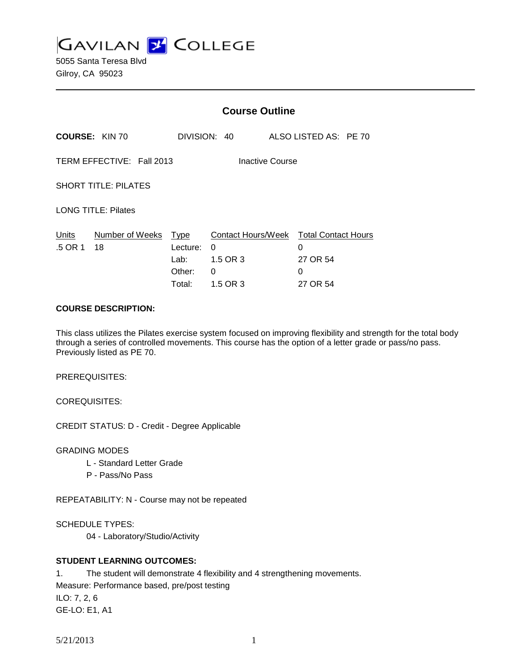**GAVILAN L'OLLEGE** 

5055 Santa Teresa Blvd Gilroy, CA 95023

|                                              |                       | <b>Course Outline</b>                               |                                                                          |        |                       |  |
|----------------------------------------------|-----------------------|-----------------------------------------------------|--------------------------------------------------------------------------|--------|-----------------------|--|
|                                              | <b>COURSE: KIN 70</b> |                                                     | DIVISION: 40                                                             |        | ALSO LISTED AS: PE 70 |  |
| TERM EFFECTIVE: Fall 2013<br>Inactive Course |                       |                                                     |                                                                          |        |                       |  |
| <b>SHORT TITLE: PILATES</b>                  |                       |                                                     |                                                                          |        |                       |  |
| <b>LONG TITLE: Pilates</b>                   |                       |                                                     |                                                                          |        |                       |  |
| Units<br>.5 OR 1                             | Number of Weeks<br>18 | <u>Type</u><br>Lecture:<br>Lab:<br>Other:<br>Total: | Contact Hours/Week Total Contact Hours<br>0<br>1.5 OR 3<br>0<br>1.5 OR 3 | 0<br>0 | 27 OR 54<br>27 OR 54  |  |

### **COURSE DESCRIPTION:**

This class utilizes the Pilates exercise system focused on improving flexibility and strength for the total body through a series of controlled movements. This course has the option of a letter grade or pass/no pass. Previously listed as PE 70.

PREREQUISITES:

COREQUISITES:

CREDIT STATUS: D - Credit - Degree Applicable

GRADING MODES

- L Standard Letter Grade
- P Pass/No Pass

REPEATABILITY: N - Course may not be repeated

SCHEDULE TYPES:

04 - Laboratory/Studio/Activity

# **STUDENT LEARNING OUTCOMES:**

1. The student will demonstrate 4 flexibility and 4 strengthening movements. Measure: Performance based, pre/post testing ILO: 7, 2, 6 GE-LO: E1, A1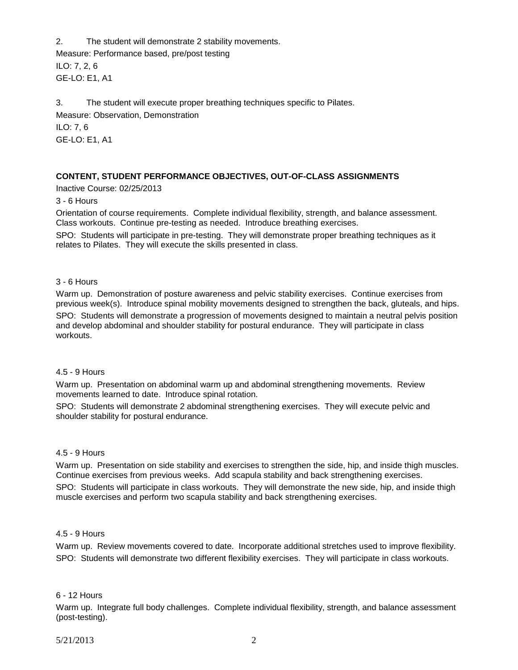2. The student will demonstrate 2 stability movements. Measure: Performance based, pre/post testing ILO: 7, 2, 6 GE-LO: E1, A1

3. The student will execute proper breathing techniques specific to Pilates. Measure: Observation, Demonstration ILO: 7, 6 GE-LO: E1, A1

### **CONTENT, STUDENT PERFORMANCE OBJECTIVES, OUT-OF-CLASS ASSIGNMENTS**

Inactive Course: 02/25/2013

3 - 6 Hours

Orientation of course requirements. Complete individual flexibility, strength, and balance assessment. Class workouts. Continue pre-testing as needed. Introduce breathing exercises.

SPO: Students will participate in pre-testing. They will demonstrate proper breathing techniques as it relates to Pilates. They will execute the skills presented in class.

#### 3 - 6 Hours

Warm up. Demonstration of posture awareness and pelvic stability exercises. Continue exercises from previous week(s). Introduce spinal mobility movements designed to strengthen the back, gluteals, and hips.

SPO: Students will demonstrate a progression of movements designed to maintain a neutral pelvis position and develop abdominal and shoulder stability for postural endurance. They will participate in class workouts.

#### 4.5 - 9 Hours

Warm up. Presentation on abdominal warm up and abdominal strengthening movements. Review movements learned to date. Introduce spinal rotation.

SPO: Students will demonstrate 2 abdominal strengthening exercises. They will execute pelvic and shoulder stability for postural endurance.

#### 4.5 - 9 Hours

Warm up. Presentation on side stability and exercises to strengthen the side, hip, and inside thigh muscles. Continue exercises from previous weeks. Add scapula stability and back strengthening exercises.

SPO: Students will participate in class workouts. They will demonstrate the new side, hip, and inside thigh muscle exercises and perform two scapula stability and back strengthening exercises.

#### 4.5 - 9 Hours

Warm up. Review movements covered to date. Incorporate additional stretches used to improve flexibility. SPO: Students will demonstrate two different flexibility exercises. They will participate in class workouts.

#### 6 - 12 Hours

Warm up. Integrate full body challenges. Complete individual flexibility, strength, and balance assessment (post-testing).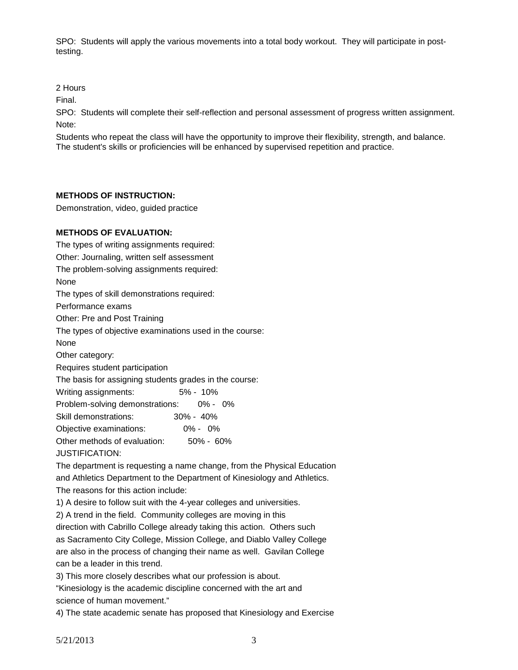SPO: Students will apply the various movements into a total body workout. They will participate in posttesting.

2 Hours

Final.

SPO: Students will complete their self-reflection and personal assessment of progress written assignment. Note:

Students who repeat the class will have the opportunity to improve their flexibility, strength, and balance. The student's skills or proficiencies will be enhanced by supervised repetition and practice.

## **METHODS OF INSTRUCTION:**

Demonstration, video, guided practice

### **METHODS OF EVALUATION:**

The types of writing assignments required: Other: Journaling, written self assessment The problem-solving assignments required: None The types of skill demonstrations required: Performance exams Other: Pre and Post Training The types of objective examinations used in the course: None Other category: Requires student participation The basis for assigning students grades in the course: Writing assignments: 5% - 10% Problem-solving demonstrations: 0% - 0% Skill demonstrations: 30% - 40% Objective examinations: 0% - 0% Other methods of evaluation: 50% - 60% JUSTIFICATION:

The department is requesting a name change, from the Physical Education and Athletics Department to the Department of Kinesiology and Athletics. The reasons for this action include:

1) A desire to follow suit with the 4-year colleges and universities.

2) A trend in the field. Community colleges are moving in this

direction with Cabrillo College already taking this action. Others such as Sacramento City College, Mission College, and Diablo Valley College are also in the process of changing their name as well. Gavilan College can be a leader in this trend.

3) This more closely describes what our profession is about.

"Kinesiology is the academic discipline concerned with the art and science of human movement."

4) The state academic senate has proposed that Kinesiology and Exercise